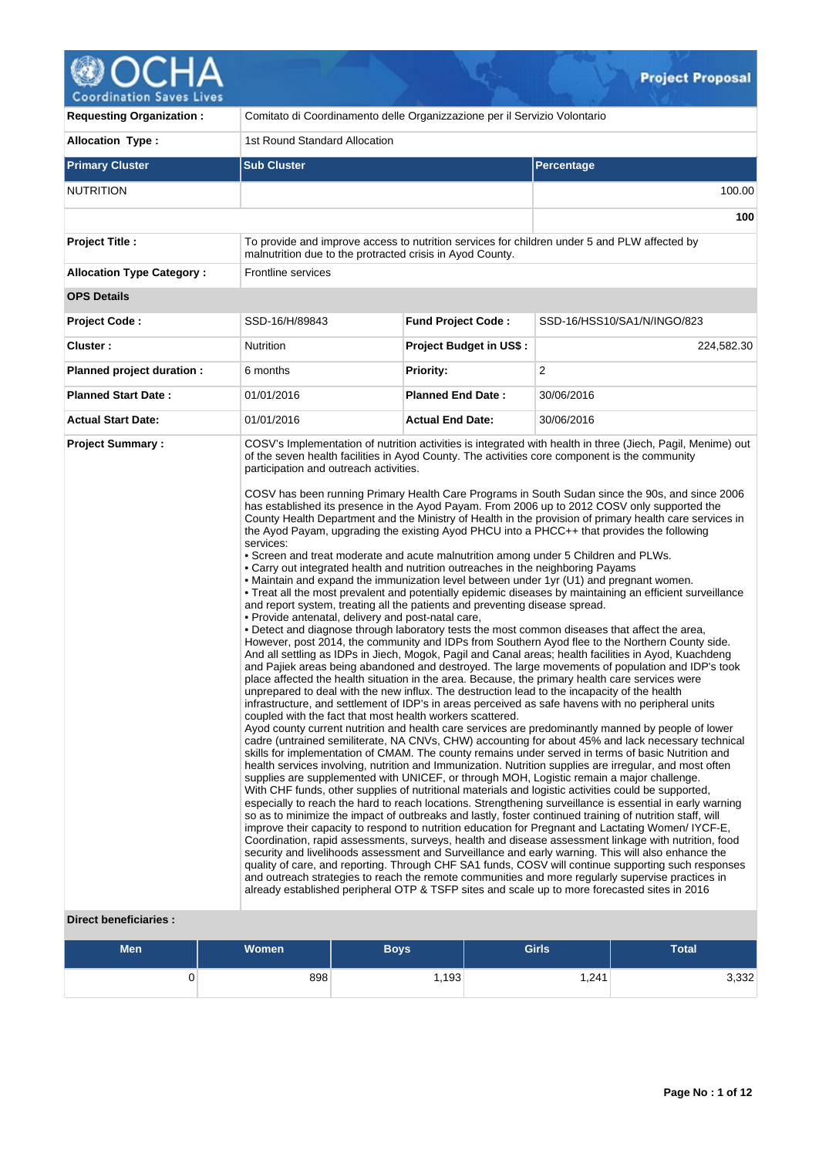

| <b>Requesting Organization:</b>  | Comitato di Coordinamento delle Organizzazione per il Servizio Volontario                                                                                                                                                                                                                                                                                                                                                                                                                                                        |                           |                                                                                                                                                                                                                                                                                                                                                                                                                                                                                                                                                                                                                                                                                                                                                                                                                                                                                                                                                                                                                                                                                                                                                                                                                                                                                                                                                                                                                                                                                                                                                                                                                                                                                                                                                                                                                                                                                                                                                                                                                                                                                                                                                                                                                                                                                                                                                                                                                                                                                                                                                                                                                                                                                                                                                                                                                                       |  |  |  |  |  |  |  |
|----------------------------------|----------------------------------------------------------------------------------------------------------------------------------------------------------------------------------------------------------------------------------------------------------------------------------------------------------------------------------------------------------------------------------------------------------------------------------------------------------------------------------------------------------------------------------|---------------------------|---------------------------------------------------------------------------------------------------------------------------------------------------------------------------------------------------------------------------------------------------------------------------------------------------------------------------------------------------------------------------------------------------------------------------------------------------------------------------------------------------------------------------------------------------------------------------------------------------------------------------------------------------------------------------------------------------------------------------------------------------------------------------------------------------------------------------------------------------------------------------------------------------------------------------------------------------------------------------------------------------------------------------------------------------------------------------------------------------------------------------------------------------------------------------------------------------------------------------------------------------------------------------------------------------------------------------------------------------------------------------------------------------------------------------------------------------------------------------------------------------------------------------------------------------------------------------------------------------------------------------------------------------------------------------------------------------------------------------------------------------------------------------------------------------------------------------------------------------------------------------------------------------------------------------------------------------------------------------------------------------------------------------------------------------------------------------------------------------------------------------------------------------------------------------------------------------------------------------------------------------------------------------------------------------------------------------------------------------------------------------------------------------------------------------------------------------------------------------------------------------------------------------------------------------------------------------------------------------------------------------------------------------------------------------------------------------------------------------------------------------------------------------------------------------------------------------------------|--|--|--|--|--|--|--|
| <b>Allocation Type:</b>          | 1st Round Standard Allocation                                                                                                                                                                                                                                                                                                                                                                                                                                                                                                    |                           |                                                                                                                                                                                                                                                                                                                                                                                                                                                                                                                                                                                                                                                                                                                                                                                                                                                                                                                                                                                                                                                                                                                                                                                                                                                                                                                                                                                                                                                                                                                                                                                                                                                                                                                                                                                                                                                                                                                                                                                                                                                                                                                                                                                                                                                                                                                                                                                                                                                                                                                                                                                                                                                                                                                                                                                                                                       |  |  |  |  |  |  |  |
| <b>Primary Cluster</b>           | <b>Sub Cluster</b>                                                                                                                                                                                                                                                                                                                                                                                                                                                                                                               |                           | <b>Percentage</b>                                                                                                                                                                                                                                                                                                                                                                                                                                                                                                                                                                                                                                                                                                                                                                                                                                                                                                                                                                                                                                                                                                                                                                                                                                                                                                                                                                                                                                                                                                                                                                                                                                                                                                                                                                                                                                                                                                                                                                                                                                                                                                                                                                                                                                                                                                                                                                                                                                                                                                                                                                                                                                                                                                                                                                                                                     |  |  |  |  |  |  |  |
| <b>NUTRITION</b>                 |                                                                                                                                                                                                                                                                                                                                                                                                                                                                                                                                  |                           | 100.00                                                                                                                                                                                                                                                                                                                                                                                                                                                                                                                                                                                                                                                                                                                                                                                                                                                                                                                                                                                                                                                                                                                                                                                                                                                                                                                                                                                                                                                                                                                                                                                                                                                                                                                                                                                                                                                                                                                                                                                                                                                                                                                                                                                                                                                                                                                                                                                                                                                                                                                                                                                                                                                                                                                                                                                                                                |  |  |  |  |  |  |  |
|                                  |                                                                                                                                                                                                                                                                                                                                                                                                                                                                                                                                  |                           | 100                                                                                                                                                                                                                                                                                                                                                                                                                                                                                                                                                                                                                                                                                                                                                                                                                                                                                                                                                                                                                                                                                                                                                                                                                                                                                                                                                                                                                                                                                                                                                                                                                                                                                                                                                                                                                                                                                                                                                                                                                                                                                                                                                                                                                                                                                                                                                                                                                                                                                                                                                                                                                                                                                                                                                                                                                                   |  |  |  |  |  |  |  |
| <b>Project Title:</b>            | malnutrition due to the protracted crisis in Ayod County.                                                                                                                                                                                                                                                                                                                                                                                                                                                                        |                           | To provide and improve access to nutrition services for children under 5 and PLW affected by                                                                                                                                                                                                                                                                                                                                                                                                                                                                                                                                                                                                                                                                                                                                                                                                                                                                                                                                                                                                                                                                                                                                                                                                                                                                                                                                                                                                                                                                                                                                                                                                                                                                                                                                                                                                                                                                                                                                                                                                                                                                                                                                                                                                                                                                                                                                                                                                                                                                                                                                                                                                                                                                                                                                          |  |  |  |  |  |  |  |
| <b>Allocation Type Category:</b> | Frontline services                                                                                                                                                                                                                                                                                                                                                                                                                                                                                                               |                           |                                                                                                                                                                                                                                                                                                                                                                                                                                                                                                                                                                                                                                                                                                                                                                                                                                                                                                                                                                                                                                                                                                                                                                                                                                                                                                                                                                                                                                                                                                                                                                                                                                                                                                                                                                                                                                                                                                                                                                                                                                                                                                                                                                                                                                                                                                                                                                                                                                                                                                                                                                                                                                                                                                                                                                                                                                       |  |  |  |  |  |  |  |
| <b>OPS Details</b>               |                                                                                                                                                                                                                                                                                                                                                                                                                                                                                                                                  |                           |                                                                                                                                                                                                                                                                                                                                                                                                                                                                                                                                                                                                                                                                                                                                                                                                                                                                                                                                                                                                                                                                                                                                                                                                                                                                                                                                                                                                                                                                                                                                                                                                                                                                                                                                                                                                                                                                                                                                                                                                                                                                                                                                                                                                                                                                                                                                                                                                                                                                                                                                                                                                                                                                                                                                                                                                                                       |  |  |  |  |  |  |  |
| <b>Project Code:</b>             | SSD-16/H/89843                                                                                                                                                                                                                                                                                                                                                                                                                                                                                                                   | <b>Fund Project Code:</b> | SSD-16/HSS10/SA1/N/INGO/823                                                                                                                                                                                                                                                                                                                                                                                                                                                                                                                                                                                                                                                                                                                                                                                                                                                                                                                                                                                                                                                                                                                                                                                                                                                                                                                                                                                                                                                                                                                                                                                                                                                                                                                                                                                                                                                                                                                                                                                                                                                                                                                                                                                                                                                                                                                                                                                                                                                                                                                                                                                                                                                                                                                                                                                                           |  |  |  |  |  |  |  |
| Cluster:                         | Nutrition                                                                                                                                                                                                                                                                                                                                                                                                                                                                                                                        | Project Budget in US\$:   | 224,582.30                                                                                                                                                                                                                                                                                                                                                                                                                                                                                                                                                                                                                                                                                                                                                                                                                                                                                                                                                                                                                                                                                                                                                                                                                                                                                                                                                                                                                                                                                                                                                                                                                                                                                                                                                                                                                                                                                                                                                                                                                                                                                                                                                                                                                                                                                                                                                                                                                                                                                                                                                                                                                                                                                                                                                                                                                            |  |  |  |  |  |  |  |
| Planned project duration :       | 6 months                                                                                                                                                                                                                                                                                                                                                                                                                                                                                                                         | <b>Priority:</b>          | 2                                                                                                                                                                                                                                                                                                                                                                                                                                                                                                                                                                                                                                                                                                                                                                                                                                                                                                                                                                                                                                                                                                                                                                                                                                                                                                                                                                                                                                                                                                                                                                                                                                                                                                                                                                                                                                                                                                                                                                                                                                                                                                                                                                                                                                                                                                                                                                                                                                                                                                                                                                                                                                                                                                                                                                                                                                     |  |  |  |  |  |  |  |
| <b>Planned Start Date:</b>       | 01/01/2016                                                                                                                                                                                                                                                                                                                                                                                                                                                                                                                       | <b>Planned End Date:</b>  | 30/06/2016                                                                                                                                                                                                                                                                                                                                                                                                                                                                                                                                                                                                                                                                                                                                                                                                                                                                                                                                                                                                                                                                                                                                                                                                                                                                                                                                                                                                                                                                                                                                                                                                                                                                                                                                                                                                                                                                                                                                                                                                                                                                                                                                                                                                                                                                                                                                                                                                                                                                                                                                                                                                                                                                                                                                                                                                                            |  |  |  |  |  |  |  |
| <b>Actual Start Date:</b>        | 01/01/2016                                                                                                                                                                                                                                                                                                                                                                                                                                                                                                                       | <b>Actual End Date:</b>   | 30/06/2016                                                                                                                                                                                                                                                                                                                                                                                                                                                                                                                                                                                                                                                                                                                                                                                                                                                                                                                                                                                                                                                                                                                                                                                                                                                                                                                                                                                                                                                                                                                                                                                                                                                                                                                                                                                                                                                                                                                                                                                                                                                                                                                                                                                                                                                                                                                                                                                                                                                                                                                                                                                                                                                                                                                                                                                                                            |  |  |  |  |  |  |  |
|                                  | participation and outreach activities.<br>services:<br>• Screen and treat moderate and acute malnutrition among under 5 Children and PLWs.<br>• Carry out integrated health and nutrition outreaches in the neighboring Payams<br>and report system, treating all the patients and preventing disease spread.<br>. Provide antenatal, delivery and post-natal care,<br>unprepared to deal with the new influx. The destruction lead to the incapacity of the health<br>coupled with the fact that most health workers scattered. |                           | of the seven health facilities in Ayod County. The activities core component is the community<br>COSV has been running Primary Health Care Programs in South Sudan since the 90s, and since 2006<br>has established its presence in the Ayod Payam. From 2006 up to 2012 COSV only supported the<br>County Health Department and the Ministry of Health in the provision of primary health care services in<br>the Ayod Payam, upgrading the existing Ayod PHCU into a PHCC++ that provides the following<br>• Maintain and expand the immunization level between under 1yr (U1) and pregnant women.<br>. Treat all the most prevalent and potentially epidemic diseases by maintaining an efficient surveillance<br>. Detect and diagnose through laboratory tests the most common diseases that affect the area,<br>However, post 2014, the community and IDPs from Southern Ayod flee to the Northern County side.<br>And all settling as IDPs in Jiech, Mogok, Pagil and Canal areas; health facilities in Ayod, Kuachdeng<br>and Pajiek areas being abandoned and destroyed. The large movements of population and IDP's took<br>place affected the health situation in the area. Because, the primary health care services were<br>infrastructure, and settlement of IDP's in areas perceived as safe havens with no peripheral units<br>Ayod county current nutrition and health care services are predominantly manned by people of lower<br>cadre (untrained semiliterate, NA CNVs, CHW) accounting for about 45% and lack necessary technical<br>skills for implementation of CMAM. The county remains under served in terms of basic Nutrition and<br>health services involving, nutrition and Immunization. Nutrition supplies are irregular, and most often<br>supplies are supplemented with UNICEF, or through MOH, Logistic remain a major challenge.<br>With CHF funds, other supplies of nutritional materials and logistic activities could be supported,<br>especially to reach the hard to reach locations. Strengthening surveillance is essential in early warning<br>so as to minimize the impact of outbreaks and lastly, foster continued training of nutrition staff, will<br>improve their capacity to respond to nutrition education for Pregnant and Lactating Women/IYCF-E,<br>Coordination, rapid assessments, surveys, health and disease assessment linkage with nutrition, food<br>security and livelihoods assessment and Surveillance and early warning. This will also enhance the<br>quality of care, and reporting. Through CHF SA1 funds, COSV will continue supporting such responses<br>and outreach strategies to reach the remote communities and more regularly supervise practices in<br>already established peripheral OTP & TSFP sites and scale up to more forecasted sites in 2016 |  |  |  |  |  |  |  |

# **Direct beneficiaries :**

| <b>Men</b> | Women | Boys  | <b>Girls</b> | <b>Total</b> |
|------------|-------|-------|--------------|--------------|
|            | 898   | 1,193 | .241         | 3,332        |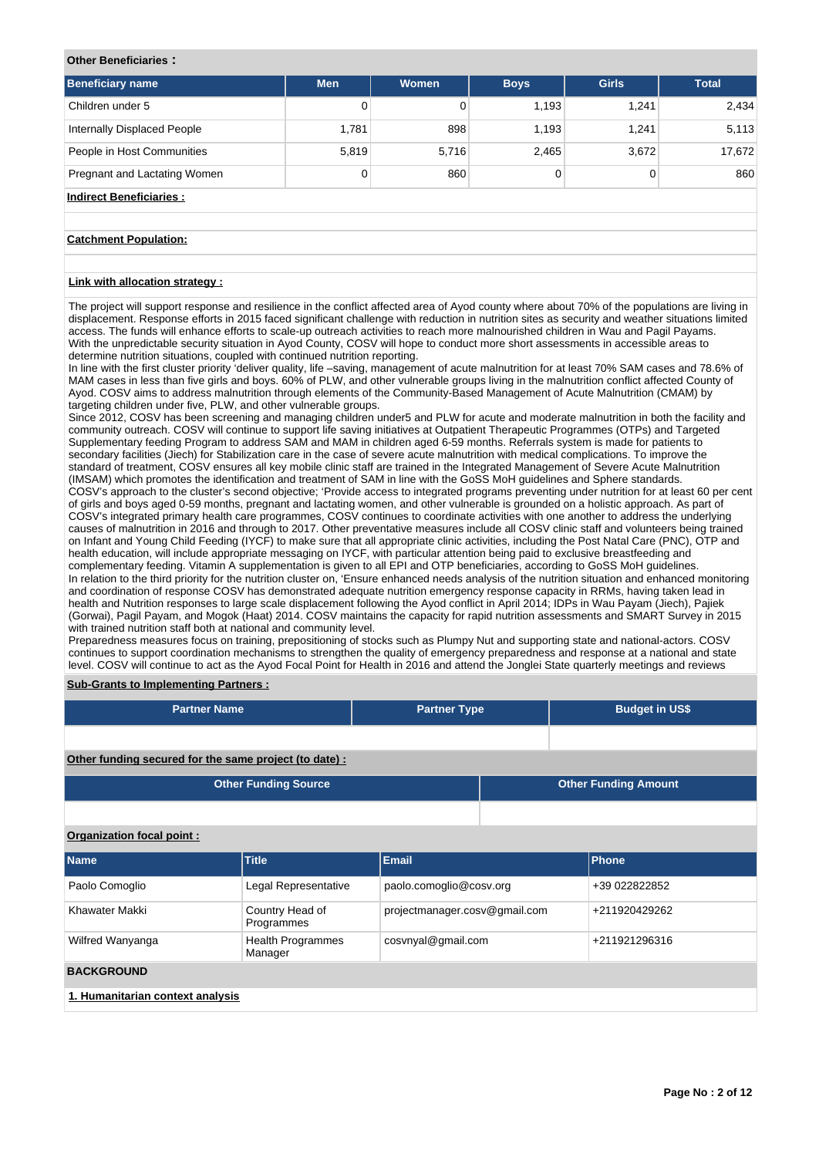## **Other Beneficiaries :**

| <b>Men</b> | <b>Women</b> | <b>Boys</b> | <b>Girls</b> | <b>Total</b> |
|------------|--------------|-------------|--------------|--------------|
| 0          |              | 1,193       | 1,241        | 2,434        |
| 1,781      | 898          | 1,193       | 1.241        | 5,113        |
| 5,819      |              | 2,465       | 3,672        | 17,672       |
| 0          | 860          | 0           | 0            | 860          |
|            |              |             | 5,716        |              |

# **Indirect Beneficiaries :**

## **Catchment Population:**

## **Link with allocation strategy :**

The project will support response and resilience in the conflict affected area of Ayod county where about 70% of the populations are living in displacement. Response efforts in 2015 faced significant challenge with reduction in nutrition sites as security and weather situations limited access. The funds will enhance efforts to scale-up outreach activities to reach more malnourished children in Wau and Pagil Payams. With the unpredictable security situation in Ayod County, COSV will hope to conduct more short assessments in accessible areas to determine nutrition situations, coupled with continued nutrition reporting.

In line with the first cluster priority 'deliver quality, life –saving, management of acute malnutrition for at least 70% SAM cases and 78.6% of MAM cases in less than five girls and boys. 60% of PLW, and other vulnerable groups living in the malnutrition conflict affected County of Ayod. COSV aims to address malnutrition through elements of the Community-Based Management of Acute Malnutrition (CMAM) by targeting children under five, PLW, and other vulnerable groups.

Since 2012, COSV has been screening and managing children under5 and PLW for acute and moderate malnutrition in both the facility and community outreach. COSV will continue to support life saving initiatives at Outpatient Therapeutic Programmes (OTPs) and Targeted Supplementary feeding Program to address SAM and MAM in children aged 6-59 months. Referrals system is made for patients to secondary facilities (Jiech) for Stabilization care in the case of severe acute malnutrition with medical complications. To improve the standard of treatment, COSV ensures all key mobile clinic staff are trained in the Integrated Management of Severe Acute Malnutrition (IMSAM) which promotes the identification and treatment of SAM in line with the GoSS MoH guidelines and Sphere standards. COSV's approach to the cluster's second objective; 'Provide access to integrated programs preventing under nutrition for at least 60 per cent of girls and boys aged 0-59 months, pregnant and lactating women, and other vulnerable is grounded on a holistic approach. As part of COSV's integrated primary health care programmes, COSV continues to coordinate activities with one another to address the underlying causes of malnutrition in 2016 and through to 2017. Other preventative measures include all COSV clinic staff and volunteers being trained on Infant and Young Child Feeding (IYCF) to make sure that all appropriate clinic activities, including the Post Natal Care (PNC), OTP and health education, will include appropriate messaging on IYCF, with particular attention being paid to exclusive breastfeeding and complementary feeding. Vitamin A supplementation is given to all EPI and OTP beneficiaries, according to GoSS MoH guidelines. In relation to the third priority for the nutrition cluster on, 'Ensure enhanced needs analysis of the nutrition situation and enhanced monitoring and coordination of response COSV has demonstrated adequate nutrition emergency response capacity in RRMs, having taken lead in health and Nutrition responses to large scale displacement following the Ayod conflict in April 2014; IDPs in Wau Payam (Jiech), Pajiek (Gorwai), Pagil Payam, and Mogok (Haat) 2014. COSV maintains the capacity for rapid nutrition assessments and SMART Survey in 2015 with trained nutrition staff both at national and community level.

Preparedness measures focus on training, prepositioning of stocks such as Plumpy Nut and supporting state and national-actors. COSV continues to support coordination mechanisms to strengthen the quality of emergency preparedness and response at a national and state level. COSV will continue to act as the Ayod Focal Point for Health in 2016 and attend the Jonglei State quarterly meetings and reviews

## **Sub-Grants to Implementing Partners :**

| <b>Partner Name</b>                                    | <b>Partner Type</b> |  | <b>Budget in US\$</b>       |  |  |  |  |  |  |  |  |  |
|--------------------------------------------------------|---------------------|--|-----------------------------|--|--|--|--|--|--|--|--|--|
|                                                        |                     |  |                             |  |  |  |  |  |  |  |  |  |
| Other funding secured for the same project (to date) : |                     |  |                             |  |  |  |  |  |  |  |  |  |
| <b>Other Funding Source</b>                            |                     |  | <b>Other Funding Amount</b> |  |  |  |  |  |  |  |  |  |
|                                                        |                     |  |                             |  |  |  |  |  |  |  |  |  |
| Organization focal point:                              |                     |  |                             |  |  |  |  |  |  |  |  |  |

# **Name Title Email Phone** Paolo Comoglio **Legal Representative** paolo.comoglio@cosv.org +39 022822852 Khawater Makki Country Head of Programmes projectmanager.cosv@gmail.com +211920429262 Wilfred Wanyanga **Health Programmes** Manager cosvnyal@gmail.com +211921296316 **BACKGROUND 1. Humanitarian context analysis**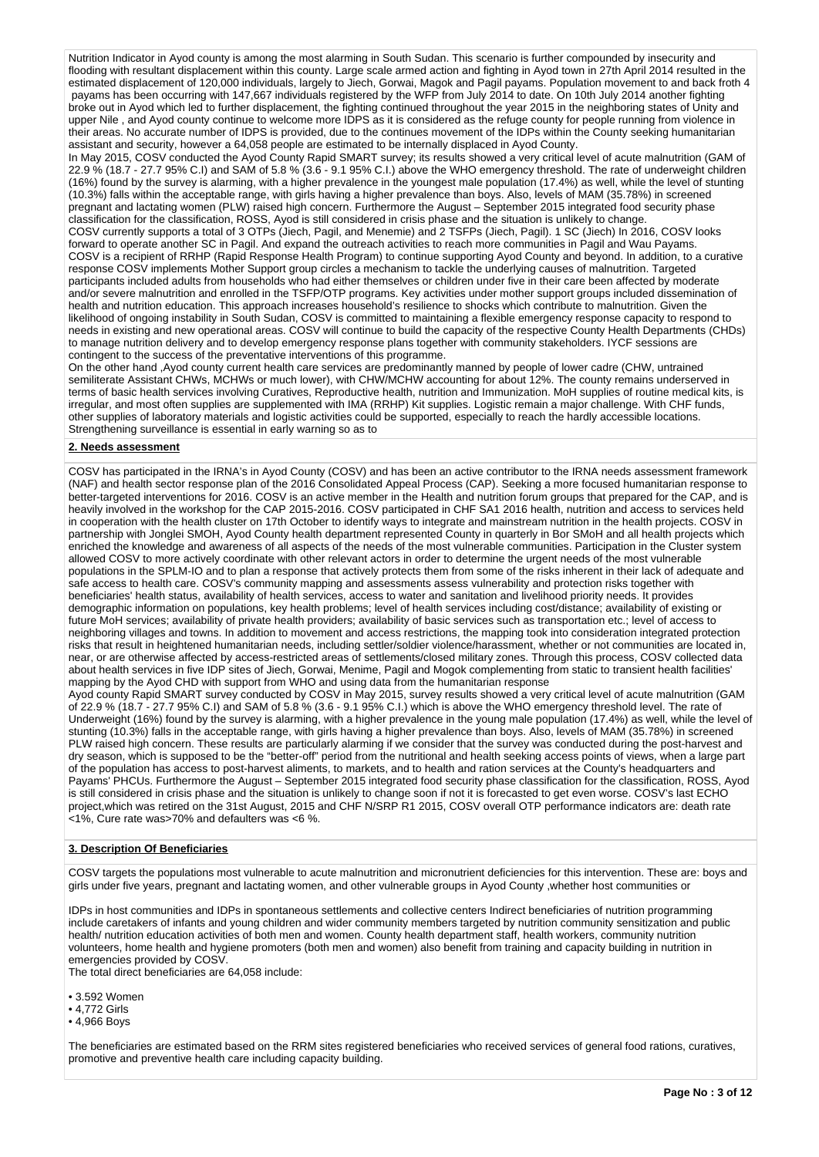Nutrition Indicator in Ayod county is among the most alarming in South Sudan. This scenario is further compounded by insecurity and flooding with resultant displacement within this county. Large scale armed action and fighting in Ayod town in 27th April 2014 resulted in the estimated displacement of 120,000 individuals, largely to Jiech, Gorwai, Magok and Pagil payams. Population movement to and back froth 4 payams has been occurring with 147,667 individuals registered by the WFP from July 2014 to date. On 10th July 2014 another fighting broke out in Ayod which led to further displacement, the fighting continued throughout the year 2015 in the neighboring states of Unity and upper Nile , and Ayod county continue to welcome more IDPS as it is considered as the refuge county for people running from violence in their areas. No accurate number of IDPS is provided, due to the continues movement of the IDPs within the County seeking humanitarian assistant and security, however a 64,058 people are estimated to be internally displaced in Ayod County.

In May 2015, COSV conducted the Ayod County Rapid SMART survey; its results showed a very critical level of acute malnutrition (GAM of 22.9 % (18.7 - 27.7 95% C.I) and SAM of 5.8 % (3.6 - 9.1 95% C.I.) above the WHO emergency threshold. The rate of underweight children (16%) found by the survey is alarming, with a higher prevalence in the youngest male population (17.4%) as well, while the level of stunting (10.3%) falls within the acceptable range, with girls having a higher prevalence than boys. Also, levels of MAM (35.78%) in screened pregnant and lactating women (PLW) raised high concern. Furthermore the August – September 2015 integrated food security phase classification for the classification, ROSS, Ayod is still considered in crisis phase and the situation is unlikely to change. COSV currently supports a total of 3 OTPs (Jiech, Pagil, and Menemie) and 2 TSFPs (Jiech, Pagil). 1 SC (Jiech) In 2016, COSV looks forward to operate another SC in Pagil. And expand the outreach activities to reach more communities in Pagil and Wau Payams. COSV is a recipient of RRHP (Rapid Response Health Program) to continue supporting Ayod County and beyond. In addition, to a curative response COSV implements Mother Support group circles a mechanism to tackle the underlying causes of malnutrition. Targeted participants included adults from households who had either themselves or children under five in their care been affected by moderate and/or severe malnutrition and enrolled in the TSFP/OTP programs. Key activities under mother support groups included dissemination of health and nutrition education. This approach increases household's resilience to shocks which contribute to malnutrition. Given the likelihood of ongoing instability in South Sudan, COSV is committed to maintaining a flexible emergency response capacity to respond to needs in existing and new operational areas. COSV will continue to build the capacity of the respective County Health Departments (CHDs) to manage nutrition delivery and to develop emergency response plans together with community stakeholders. IYCF sessions are contingent to the success of the preventative interventions of this programme.

On the other hand ,Ayod county current health care services are predominantly manned by people of lower cadre (CHW, untrained semiliterate Assistant CHWs, MCHWs or much lower), with CHW/MCHW accounting for about 12%. The county remains underserved in terms of basic health services involving Curatives, Reproductive health, nutrition and Immunization. MoH supplies of routine medical kits, is irregular, and most often supplies are supplemented with IMA (RRHP) Kit supplies. Logistic remain a major challenge. With CHF funds, other supplies of laboratory materials and logistic activities could be supported, especially to reach the hardly accessible locations. Strengthening surveillance is essential in early warning so as to

### **2. Needs assessment**

COSV has participated in the IRNA's in Ayod County (COSV) and has been an active contributor to the IRNA needs assessment framework (NAF) and health sector response plan of the 2016 Consolidated Appeal Process (CAP). Seeking a more focused humanitarian response to better-targeted interventions for 2016. COSV is an active member in the Health and nutrition forum groups that prepared for the CAP, and is heavily involved in the workshop for the CAP 2015-2016. COSV participated in CHF SA1 2016 health, nutrition and access to services held in cooperation with the health cluster on 17th October to identify ways to integrate and mainstream nutrition in the health projects. COSV in partnership with Jonglei SMOH, Ayod County health department represented County in quarterly in Bor SMoH and all health projects which enriched the knowledge and awareness of all aspects of the needs of the most vulnerable communities. Participation in the Cluster system allowed COSV to more actively coordinate with other relevant actors in order to determine the urgent needs of the most vulnerable populations in the SPLM-IO and to plan a response that actively protects them from some of the risks inherent in their lack of adequate and safe access to health care. COSV's community mapping and assessments assess vulnerability and protection risks together with beneficiaries' health status, availability of health services, access to water and sanitation and livelihood priority needs. It provides demographic information on populations, key health problems; level of health services including cost/distance; availability of existing or future MoH services; availability of private health providers; availability of basic services such as transportation etc.; level of access to neighboring villages and towns. In addition to movement and access restrictions, the mapping took into consideration integrated protection risks that result in heightened humanitarian needs, including settler/soldier violence/harassment, whether or not communities are located in, near, or are otherwise affected by access-restricted areas of settlements/closed military zones. Through this process, COSV collected data about health services in five IDP sites of Jiech, Gorwai, Menime, Pagil and Mogok complementing from static to transient health facilities' mapping by the Ayod CHD with support from WHO and using data from the humanitarian response

Ayod county Rapid SMART survey conducted by COSV in May 2015, survey results showed a very critical level of acute malnutrition (GAM of 22.9 % (18.7 - 27.7 95% C.I) and SAM of 5.8 % (3.6 - 9.1 95% C.I.) which is above the WHO emergency threshold level. The rate of Underweight (16%) found by the survey is alarming, with a higher prevalence in the young male population (17.4%) as well, while the level of stunting (10.3%) falls in the acceptable range, with girls having a higher prevalence than boys. Also, levels of MAM (35.78%) in screened PLW raised high concern. These results are particularly alarming if we consider that the survey was conducted during the post-harvest and dry season, which is supposed to be the "better-off" period from the nutritional and health seeking access points of views, when a large part of the population has access to post-harvest aliments, to markets, and to health and ration services at the County's headquarters and Payams' PHCUs. Furthermore the August – September 2015 integrated food security phase classification for the classification, ROSS, Ayod is still considered in crisis phase and the situation is unlikely to change soon if not it is forecasted to get even worse. COSV's last ECHO project,which was retired on the 31st August, 2015 and CHF N/SRP R1 2015, COSV overall OTP performance indicators are: death rate <1%, Cure rate was>70% and defaulters was <6 %.

## **3. Description Of Beneficiaries**

COSV targets the populations most vulnerable to acute malnutrition and micronutrient deficiencies for this intervention. These are: boys and girls under five years, pregnant and lactating women, and other vulnerable groups in Ayod County ,whether host communities or

IDPs in host communities and IDPs in spontaneous settlements and collective centers Indirect beneficiaries of nutrition programming include caretakers of infants and young children and wider community members targeted by nutrition community sensitization and public health/ nutrition education activities of both men and women. County health department staff, health workers, community nutrition volunteers, home health and hygiene promoters (both men and women) also benefit from training and capacity building in nutrition in emergencies provided by COSV.

The total direct beneficiaries are 64,058 include:

• 3.592 Women

• 4,772 Girls

• 4,966 Boys

The beneficiaries are estimated based on the RRM sites registered beneficiaries who received services of general food rations, curatives, promotive and preventive health care including capacity building.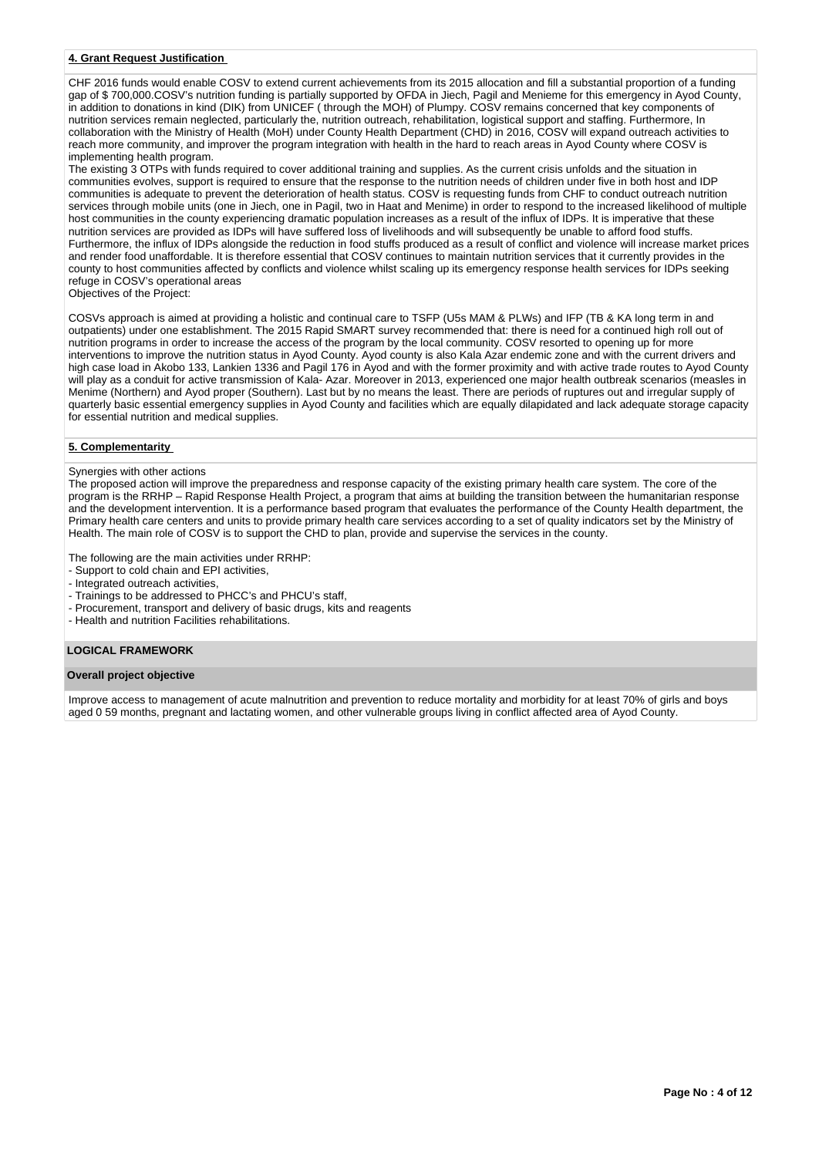## **4. Grant Request Justification**

CHF 2016 funds would enable COSV to extend current achievements from its 2015 allocation and fill a substantial proportion of a funding gap of \$ 700,000.COSV's nutrition funding is partially supported by OFDA in Jiech, Pagil and Menieme for this emergency in Ayod County, in addition to donations in kind (DIK) from UNICEF ( through the MOH) of Plumpy. COSV remains concerned that key components of nutrition services remain neglected, particularly the, nutrition outreach, rehabilitation, logistical support and staffing. Furthermore, In collaboration with the Ministry of Health (MoH) under County Health Department (CHD) in 2016, COSV will expand outreach activities to reach more community, and improver the program integration with health in the hard to reach areas in Ayod County where COSV is implementing health program.

The existing 3 OTPs with funds required to cover additional training and supplies. As the current crisis unfolds and the situation in communities evolves, support is required to ensure that the response to the nutrition needs of children under five in both host and IDP communities is adequate to prevent the deterioration of health status. COSV is requesting funds from CHF to conduct outreach nutrition services through mobile units (one in Jiech, one in Pagil, two in Haat and Menime) in order to respond to the increased likelihood of multiple host communities in the county experiencing dramatic population increases as a result of the influx of IDPs. It is imperative that these nutrition services are provided as IDPs will have suffered loss of livelihoods and will subsequently be unable to afford food stuffs. Furthermore, the influx of IDPs alongside the reduction in food stuffs produced as a result of conflict and violence will increase market prices and render food unaffordable. It is therefore essential that COSV continues to maintain nutrition services that it currently provides in the county to host communities affected by conflicts and violence whilst scaling up its emergency response health services for IDPs seeking refuge in COSV's operational areas

Objectives of the Project:

COSVs approach is aimed at providing a holistic and continual care to TSFP (U5s MAM & PLWs) and IFP (TB & KA long term in and outpatients) under one establishment. The 2015 Rapid SMART survey recommended that: there is need for a continued high roll out of nutrition programs in order to increase the access of the program by the local community. COSV resorted to opening up for more interventions to improve the nutrition status in Ayod County. Ayod county is also Kala Azar endemic zone and with the current drivers and high case load in Akobo 133, Lankien 1336 and Pagil 176 in Ayod and with the former proximity and with active trade routes to Ayod County will play as a conduit for active transmission of Kala- Azar. Moreover in 2013, experienced one major health outbreak scenarios (measles in Menime (Northern) and Ayod proper (Southern). Last but by no means the least. There are periods of ruptures out and irregular supply of quarterly basic essential emergency supplies in Ayod County and facilities which are equally dilapidated and lack adequate storage capacity for essential nutrition and medical supplies.

## **5. Complementarity**

### Synergies with other actions

The proposed action will improve the preparedness and response capacity of the existing primary health care system. The core of the program is the RRHP – Rapid Response Health Project, a program that aims at building the transition between the humanitarian response and the development intervention. It is a performance based program that evaluates the performance of the County Health department, the Primary health care centers and units to provide primary health care services according to a set of quality indicators set by the Ministry of Health. The main role of COSV is to support the CHD to plan, provide and supervise the services in the county.

The following are the main activities under RRHP:

- Support to cold chain and EPI activities,
- Integrated outreach activities.
- Trainings to be addressed to PHCC's and PHCU's staff,
- Procurement, transport and delivery of basic drugs, kits and reagents
- Health and nutrition Facilities rehabilitations.

### **LOGICAL FRAMEWORK**

#### **Overall project objective**

Improve access to management of acute malnutrition and prevention to reduce mortality and morbidity for at least 70% of girls and boys aged 0 59 months, pregnant and lactating women, and other vulnerable groups living in conflict affected area of Ayod County.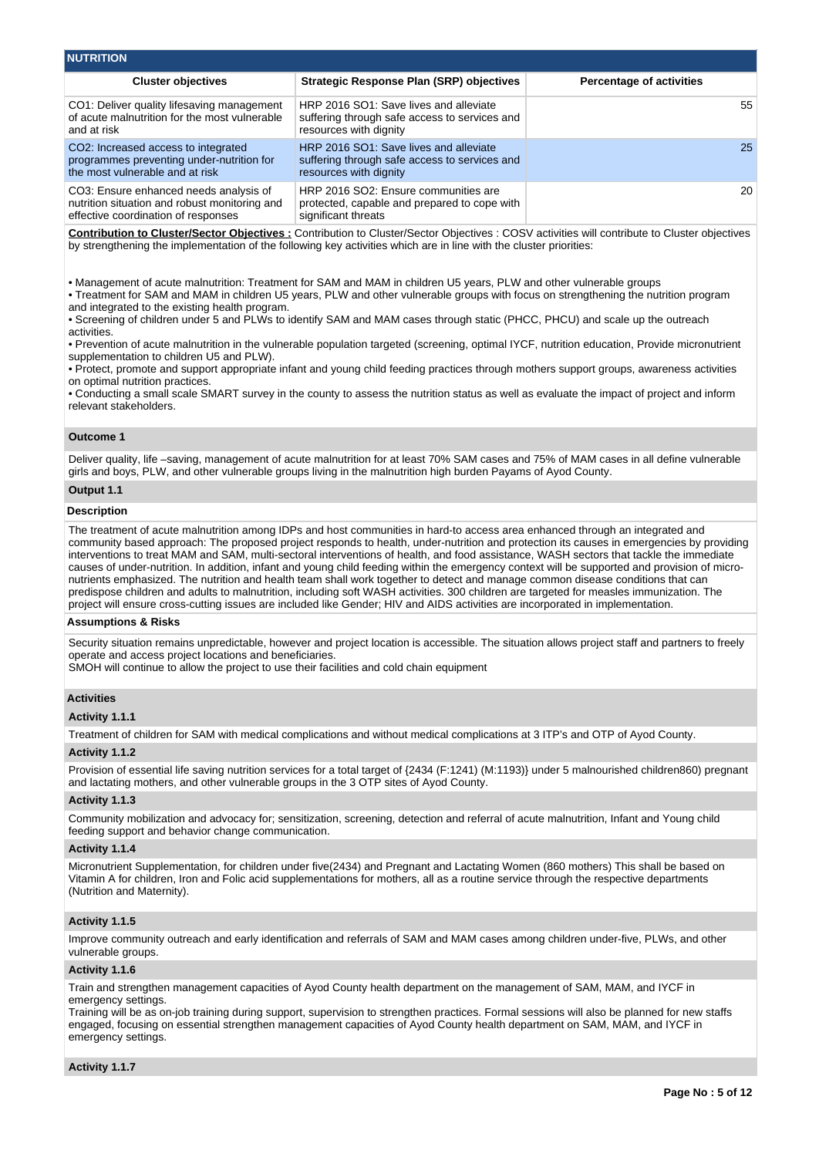| <b>NUTRITION</b>                                                                                                                 |                                                                                                                   |                                 |  |  |  |  |  |  |  |  |  |
|----------------------------------------------------------------------------------------------------------------------------------|-------------------------------------------------------------------------------------------------------------------|---------------------------------|--|--|--|--|--|--|--|--|--|
| <b>Cluster objectives</b>                                                                                                        | Strategic Response Plan (SRP) objectives                                                                          | <b>Percentage of activities</b> |  |  |  |  |  |  |  |  |  |
| CO1: Deliver quality lifesaving management<br>of acute malnutrition for the most vulnerable<br>and at risk                       | HRP 2016 SO1: Save lives and alleviate<br>suffering through safe access to services and<br>resources with dignity | 55                              |  |  |  |  |  |  |  |  |  |
| CO <sub>2</sub> : Increased access to integrated<br>programmes preventing under-nutrition for<br>the most vulnerable and at risk | HRP 2016 SO1: Save lives and alleviate<br>suffering through safe access to services and<br>resources with dignity | 25 <sub>1</sub>                 |  |  |  |  |  |  |  |  |  |
| CO3: Ensure enhanced needs analysis of<br>nutrition situation and robust monitoring and<br>effective coordination of responses   | HRP 2016 SO2: Ensure communities are<br>protected, capable and prepared to cope with<br>significant threats       | 20                              |  |  |  |  |  |  |  |  |  |

**Contribution to Cluster/Sector Objectives :** Contribution to Cluster/Sector Objectives : COSV activities will contribute to Cluster objectives by strengthening the implementation of the following key activities which are in line with the cluster priorities:

• Management of acute malnutrition: Treatment for SAM and MAM in children U5 years, PLW and other vulnerable groups

• Treatment for SAM and MAM in children U5 years, PLW and other vulnerable groups with focus on strengthening the nutrition program and integrated to the existing health program.

• Screening of children under 5 and PLWs to identify SAM and MAM cases through static (PHCC, PHCU) and scale up the outreach activities.

• Prevention of acute malnutrition in the vulnerable population targeted (screening, optimal IYCF, nutrition education, Provide micronutrient supplementation to children U5 and PLW).

• Protect, promote and support appropriate infant and young child feeding practices through mothers support groups, awareness activities on optimal nutrition practices.

• Conducting a small scale SMART survey in the county to assess the nutrition status as well as evaluate the impact of project and inform relevant stakeholders.

### **Outcome 1**

Deliver quality, life –saving, management of acute malnutrition for at least 70% SAM cases and 75% of MAM cases in all define vulnerable girls and boys, PLW, and other vulnerable groups living in the malnutrition high burden Payams of Ayod County.

## **Output 1.1**

## **Description**

The treatment of acute malnutrition among IDPs and host communities in hard-to access area enhanced through an integrated and community based approach: The proposed project responds to health, under-nutrition and protection its causes in emergencies by providing interventions to treat MAM and SAM, multi-sectoral interventions of health, and food assistance, WASH sectors that tackle the immediate causes of under-nutrition. In addition, infant and young child feeding within the emergency context will be supported and provision of micronutrients emphasized. The nutrition and health team shall work together to detect and manage common disease conditions that can predispose children and adults to malnutrition, including soft WASH activities. 300 children are targeted for measles immunization. The project will ensure cross-cutting issues are included like Gender; HIV and AIDS activities are incorporated in implementation.

### **Assumptions & Risks**

Security situation remains unpredictable, however and project location is accessible. The situation allows project staff and partners to freely operate and access project locations and beneficiaries.

SMOH will continue to allow the project to use their facilities and cold chain equipment

### **Activities**

**Activity 1.1.1** 

Treatment of children for SAM with medical complications and without medical complications at 3 ITP's and OTP of Ayod County.

### **Activity 1.1.2**

Provision of essential life saving nutrition services for a total target of {2434 (F:1241) (M:1193)} under 5 malnourished children860) pregnant and lactating mothers, and other vulnerable groups in the 3 OTP sites of Ayod County.

#### **Activity 1.1.3**

Community mobilization and advocacy for; sensitization, screening, detection and referral of acute malnutrition, Infant and Young child feeding support and behavior change communication.

#### **Activity 1.1.4**

Micronutrient Supplementation, for children under five(2434) and Pregnant and Lactating Women (860 mothers) This shall be based on Vitamin A for children, Iron and Folic acid supplementations for mothers, all as a routine service through the respective departments (Nutrition and Maternity).

## **Activity 1.1.5**

Improve community outreach and early identification and referrals of SAM and MAM cases among children under-five, PLWs, and other vulnerable groups.

### **Activity 1.1.6**

Train and strengthen management capacities of Ayod County health department on the management of SAM, MAM, and IYCF in emergency settings.

Training will be as on-job training during support, supervision to strengthen practices. Formal sessions will also be planned for new staffs engaged, focusing on essential strengthen management capacities of Ayod County health department on SAM, MAM, and IYCF in emergency settings.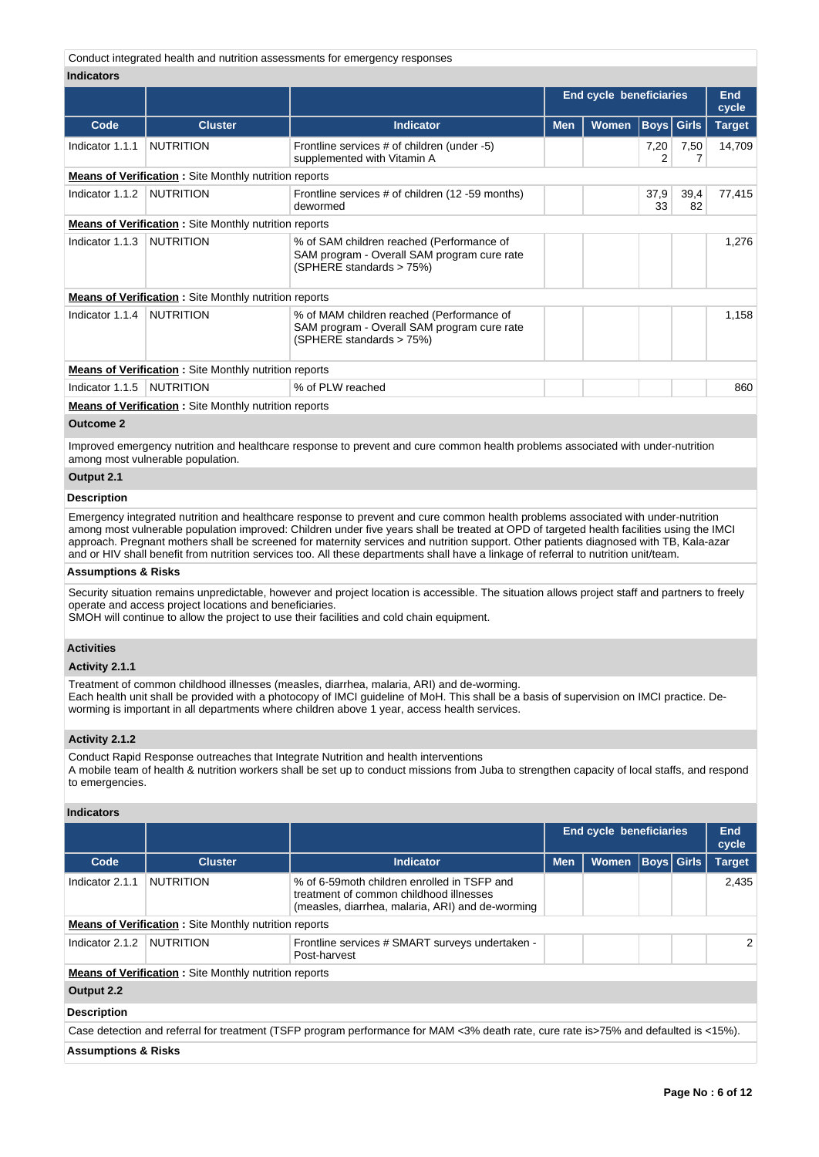Conduct integrated health and nutrition assessments for emergency responses

#### **Indicators**

|                     |                                                              |                                                                                                                      | <b>End cycle beneficiaries</b> |                            |            |                   | End<br>cycle  |
|---------------------|--------------------------------------------------------------|----------------------------------------------------------------------------------------------------------------------|--------------------------------|----------------------------|------------|-------------------|---------------|
| Code                | <b>Cluster</b>                                               | <b>Indicator</b>                                                                                                     |                                | <b>Women</b><br><b>Men</b> |            | <b>Boys</b> Girls | <b>Target</b> |
| Indicator 1.1.1     | <b>NUTRITION</b>                                             | Frontline services # of children (under -5)<br>supplemented with Vitamin A                                           |                                |                            | 7,20<br>2  | 7,50              | 14,709        |
|                     | <b>Means of Verification:</b> Site Monthly nutrition reports |                                                                                                                      |                                |                            |            |                   |               |
| Indicator 1.1.2     | <b>NUTRITION</b>                                             | Frontline services # of children (12 -59 months)<br>dewormed                                                         |                                |                            | 37,9<br>33 | 39,4<br>82        | 77,415        |
|                     | <b>Means of Verification:</b> Site Monthly nutrition reports |                                                                                                                      |                                |                            |            |                   |               |
| Indicator 1.1.3     | <b>NUTRITION</b>                                             | % of SAM children reached (Performance of<br>SAM program - Overall SAM program cure rate<br>(SPHERE standards > 75%) |                                |                            |            |                   | 1,276         |
|                     | <b>Means of Verification:</b> Site Monthly nutrition reports |                                                                                                                      |                                |                            |            |                   |               |
| Indicator 1.1.4     | <b>NUTRITION</b>                                             | % of MAM children reached (Performance of<br>SAM program - Overall SAM program cure rate<br>(SPHERE standards > 75%) |                                |                            |            |                   | 1,158         |
|                     | <b>Means of Verification:</b> Site Monthly nutrition reports |                                                                                                                      |                                |                            |            |                   |               |
| Indicator 1.1.5     | NUTRITION                                                    | % of PLW reached                                                                                                     |                                |                            |            |                   | 860           |
|                     | <b>Means of Verification:</b> Site Monthly nutrition reports |                                                                                                                      |                                |                            |            |                   |               |
| $\bigcap_{i=1}^{n}$ |                                                              |                                                                                                                      |                                |                            |            |                   |               |

**Outcome 2**

Improved emergency nutrition and healthcare response to prevent and cure common health problems associated with under-nutrition among most vulnerable population.

## **Output 2.1**

#### **Description**

Emergency integrated nutrition and healthcare response to prevent and cure common health problems associated with under-nutrition among most vulnerable population improved: Children under five years shall be treated at OPD of targeted health facilities using the IMCI approach. Pregnant mothers shall be screened for maternity services and nutrition support. Other patients diagnosed with TB, Kala-azar and or HIV shall benefit from nutrition services too. All these departments shall have a linkage of referral to nutrition unit/team.

## **Assumptions & Risks**

Security situation remains unpredictable, however and project location is accessible. The situation allows project staff and partners to freely operate and access project locations and beneficiaries.

SMOH will continue to allow the project to use their facilities and cold chain equipment.

## **Activities**

## **Activity 2.1.1**

Treatment of common childhood illnesses (measles, diarrhea, malaria, ARI) and de-worming. Each health unit shall be provided with a photocopy of IMCI guideline of MoH. This shall be a basis of supervision on IMCI practice. Deworming is important in all departments where children above 1 year, access health services.

### **Activity 2.1.2**

Conduct Rapid Response outreaches that Integrate Nutrition and health interventions A mobile team of health & nutrition workers shall be set up to conduct missions from Juba to strengthen capacity of local staffs, and respond to emergencies.

## **Indicators**

|                                |                                                               |                                                                                                                                             |            | <b>End cycle beneficiaries</b> |  | <b>End</b><br>cycle |               |  |  |  |  |  |
|--------------------------------|---------------------------------------------------------------|---------------------------------------------------------------------------------------------------------------------------------------------|------------|--------------------------------|--|---------------------|---------------|--|--|--|--|--|
| Code                           | <b>Cluster</b>                                                | <b>Indicator</b>                                                                                                                            | <b>Men</b> | <b>Women</b>                   |  | Boys  Girls         | <b>Target</b> |  |  |  |  |  |
| Indicator 2.1.1                | <b>NUTRITION</b>                                              | % of 6-59 moth children enrolled in TSFP and<br>treatment of common childhood illnesses<br>(measles, diarrhea, malaria, ARI) and de-worming |            |                                |  |                     | 2,435         |  |  |  |  |  |
|                                | <b>Means of Verification:</b> Site Monthly nutrition reports  |                                                                                                                                             |            |                                |  |                     |               |  |  |  |  |  |
| Indicator 2.1.2                | <b>NUTRITION</b>                                              | Frontline services # SMART surveys undertaken -<br>Post-harvest                                                                             |            |                                |  |                     | 2             |  |  |  |  |  |
|                                | <b>Means of Verification</b> : Site Monthly nutrition reports |                                                                                                                                             |            |                                |  |                     |               |  |  |  |  |  |
| Output 2.2                     |                                                               |                                                                                                                                             |            |                                |  |                     |               |  |  |  |  |  |
| <b>Description</b>             |                                                               |                                                                                                                                             |            |                                |  |                     |               |  |  |  |  |  |
|                                |                                                               | Case detection and referral for treatment (TSFP program performance for MAM <3% death rate, cure rate is>75% and defaulted is <15%).        |            |                                |  |                     |               |  |  |  |  |  |
| <b>Assumptions &amp; Risks</b> |                                                               |                                                                                                                                             |            |                                |  |                     |               |  |  |  |  |  |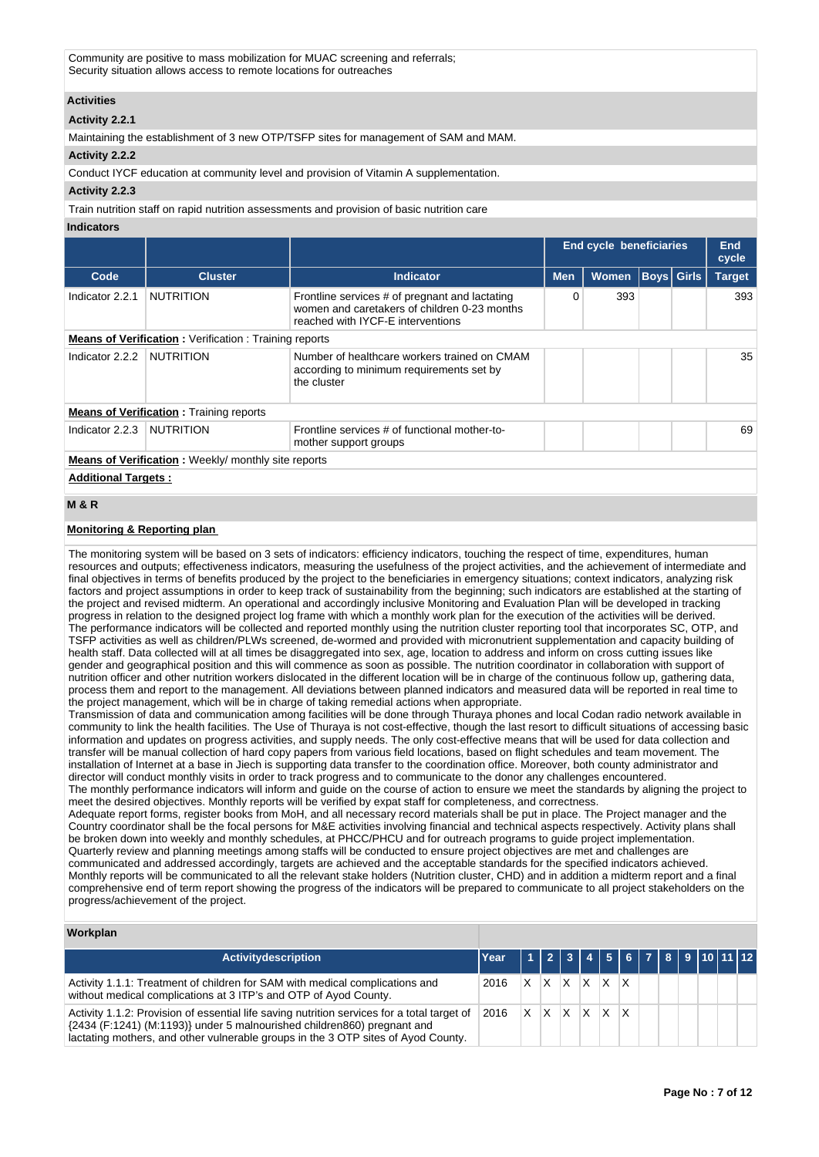Community are positive to mass mobilization for MUAC screening and referrals; Security situation allows access to remote locations for outreaches

## **Activities**

## **Activity 2.2.1**

Maintaining the establishment of 3 new OTP/TSFP sites for management of SAM and MAM.

## **Activity 2.2.2**

Conduct IYCF education at community level and provision of Vitamin A supplementation.

## **Activity 2.2.3**

Train nutrition staff on rapid nutrition assessments and provision of basic nutrition care

#### **Indicators**

|                 |                                                              | <b>End cycle beneficiaries</b>                                                                                                      |            |              |  |                   |               |  |  |  |  |  |  |  | End<br>cycle |
|-----------------|--------------------------------------------------------------|-------------------------------------------------------------------------------------------------------------------------------------|------------|--------------|--|-------------------|---------------|--|--|--|--|--|--|--|--------------|
| Code            | <b>Cluster</b>                                               | <b>Indicator</b>                                                                                                                    | <b>Men</b> | <b>Women</b> |  | <b>Boys</b> Girls | <b>Target</b> |  |  |  |  |  |  |  |              |
| Indicator 2.2.1 | <b>NUTRITION</b>                                             | Frontline services # of pregnant and lactating<br>women and caretakers of children 0-23 months<br>reached with IYCF-E interventions | 0          | 393          |  |                   | 393           |  |  |  |  |  |  |  |              |
|                 | <b>Means of Verification: Verification: Training reports</b> |                                                                                                                                     |            |              |  |                   |               |  |  |  |  |  |  |  |              |
| Indicator 2.2.2 | <b>NUTRITION</b>                                             | Number of healthcare workers trained on CMAM<br>according to minimum requirements set by<br>the cluster                             |            |              |  |                   | 35            |  |  |  |  |  |  |  |              |
|                 | <b>Means of Verification:</b> Training reports               |                                                                                                                                     |            |              |  |                   |               |  |  |  |  |  |  |  |              |
| Indicator 2.2.3 | <b>NUTRITION</b>                                             | Frontline services # of functional mother-to-<br>mother support groups                                                              |            |              |  |                   | 69            |  |  |  |  |  |  |  |              |
|                 | <b>Means of Verification:</b> Weekly/monthly site reports    |                                                                                                                                     |            |              |  |                   |               |  |  |  |  |  |  |  |              |

**Additional Targets :**

## **M & R**

## **Monitoring & Reporting plan**

The monitoring system will be based on 3 sets of indicators: efficiency indicators, touching the respect of time, expenditures, human resources and outputs; effectiveness indicators, measuring the usefulness of the project activities, and the achievement of intermediate and final objectives in terms of benefits produced by the project to the beneficiaries in emergency situations; context indicators, analyzing risk factors and project assumptions in order to keep track of sustainability from the beginning; such indicators are established at the starting of the project and revised midterm. An operational and accordingly inclusive Monitoring and Evaluation Plan will be developed in tracking progress in relation to the designed project log frame with which a monthly work plan for the execution of the activities will be derived. The performance indicators will be collected and reported monthly using the nutrition cluster reporting tool that incorporates SC, OTP, and TSFP activities as well as children/PLWs screened, de-wormed and provided with micronutrient supplementation and capacity building of health staff. Data collected will at all times be disaggregated into sex, age, location to address and inform on cross cutting issues like gender and geographical position and this will commence as soon as possible. The nutrition coordinator in collaboration with support of nutrition officer and other nutrition workers dislocated in the different location will be in charge of the continuous follow up, gathering data, process them and report to the management. All deviations between planned indicators and measured data will be reported in real time to the project management, which will be in charge of taking remedial actions when appropriate.

Transmission of data and communication among facilities will be done through Thuraya phones and local Codan radio network available in community to link the health facilities. The Use of Thuraya is not cost-effective, though the last resort to difficult situations of accessing basic information and updates on progress activities, and supply needs. The only cost-effective means that will be used for data collection and transfer will be manual collection of hard copy papers from various field locations, based on flight schedules and team movement. The installation of Internet at a base in Jiech is supporting data transfer to the coordination office. Moreover, both county administrator and director will conduct monthly visits in order to track progress and to communicate to the donor any challenges encountered.

The monthly performance indicators will inform and guide on the course of action to ensure we meet the standards by aligning the project to meet the desired objectives. Monthly reports will be verified by expat staff for completeness, and correctness.

Adequate report forms, register books from MoH, and all necessary record materials shall be put in place. The Project manager and the Country coordinator shall be the focal persons for M&E activities involving financial and technical aspects respectively. Activity plans shall be broken down into weekly and monthly schedules, at PHCC/PHCU and for outreach programs to guide project implementation. Quarterly review and planning meetings among staffs will be conducted to ensure project objectives are met and challenges are communicated and addressed accordingly, targets are achieved and the acceptable standards for the specified indicators achieved. Monthly reports will be communicated to all the relevant stake holders (Nutrition cluster, CHD) and in addition a midterm report and a final comprehensive end of term report showing the progress of the indicators will be prepared to communicate to all project stakeholders on the progress/achievement of the project.

## **Workplan**

| <b>Activitydescription</b>                                                                                                                                                                                                                                  | Year   1   2   3   4   5   6   7   8   9   10   11   12 |         |          |     |              |    |  |  |  |
|-------------------------------------------------------------------------------------------------------------------------------------------------------------------------------------------------------------------------------------------------------------|---------------------------------------------------------|---------|----------|-----|--------------|----|--|--|--|
| Activity 1.1.1: Treatment of children for SAM with medical complications and<br>without medical complications at 3 ITP's and OTP of Ayod County.                                                                                                            | 2016                                                    | $X$ $X$ | X        | X.  | X            |    |  |  |  |
| Activity 1.1.2: Provision of essential life saving nutrition services for a total target of<br>{2434 (F:1241) (M:1193)} under 5 malnourished children860) pregnant and<br>lactating mothers, and other vulnerable groups in the 3 OTP sites of Ayod County. | 2016                                                    | $X$ $X$ | $\times$ | IX. | $\mathsf{x}$ | ΙX |  |  |  |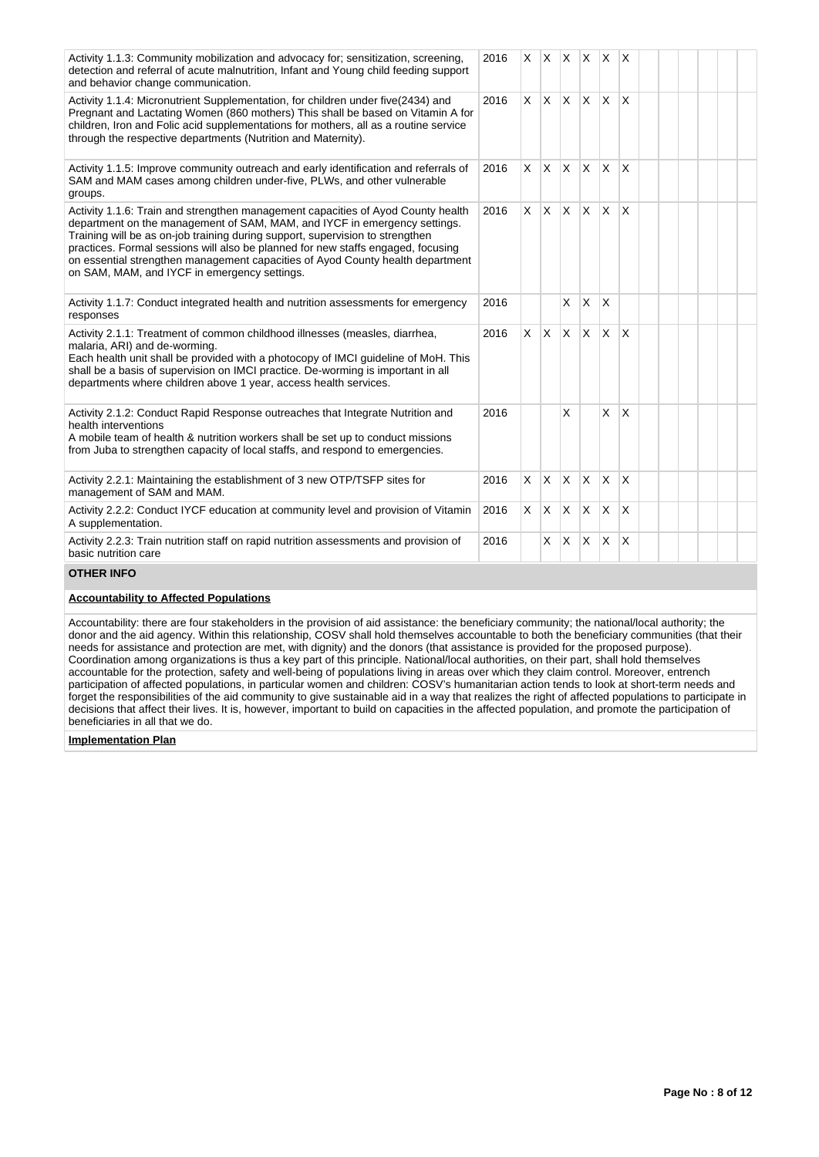| Activity 1.1.3: Community mobilization and advocacy for; sensitization, screening,<br>detection and referral of acute malnutrition, Infant and Young child feeding support<br>and behavior change communication.                                                                                                                                                                                                                                                     | 2016 | X        |                         | XX           | X.           | <b>X</b>        | X                       |  |  |  |
|----------------------------------------------------------------------------------------------------------------------------------------------------------------------------------------------------------------------------------------------------------------------------------------------------------------------------------------------------------------------------------------------------------------------------------------------------------------------|------|----------|-------------------------|--------------|--------------|-----------------|-------------------------|--|--|--|
| Activity 1.1.4: Micronutrient Supplementation, for children under five(2434) and<br>Pregnant and Lactating Women (860 mothers) This shall be based on Vitamin A for<br>children, Iron and Folic acid supplementations for mothers, all as a routine service<br>through the respective departments (Nutrition and Maternity).                                                                                                                                         | 2016 | $\times$ | $\mathsf{X} \mathsf{X}$ |              | ΙX.          | <b>X</b>        | $\overline{\mathsf{x}}$ |  |  |  |
| Activity 1.1.5: Improve community outreach and early identification and referrals of<br>SAM and MAM cases among children under-five, PLWs, and other vulnerable<br>groups.                                                                                                                                                                                                                                                                                           | 2016 | X.       | IX.                     | $\mathsf{X}$ | <b>X</b>     | X               | $\overline{\mathsf{x}}$ |  |  |  |
| Activity 1.1.6: Train and strengthen management capacities of Ayod County health<br>department on the management of SAM, MAM, and IYCF in emergency settings.<br>Training will be as on-job training during support, supervision to strengthen<br>practices. Formal sessions will also be planned for new staffs engaged, focusing<br>on essential strengthen management capacities of Ayod County health department<br>on SAM, MAM, and IYCF in emergency settings. | 2016 | X.       | ΙX.                     | ΙX.          | $\mathsf{X}$ | <sup>X</sup>    | $\overline{\mathsf{x}}$ |  |  |  |
| Activity 1.1.7: Conduct integrated health and nutrition assessments for emergency<br>responses                                                                                                                                                                                                                                                                                                                                                                       | 2016 |          |                         | X            | X            | X               |                         |  |  |  |
| Activity 2.1.1: Treatment of common childhood illnesses (measles, diarrhea,<br>malaria, ARI) and de-worming.<br>Each health unit shall be provided with a photocopy of IMCI guideline of MoH. This<br>shall be a basis of supervision on IMCI practice. De-worming is important in all<br>departments where children above 1 year, access health services.                                                                                                           | 2016 | $\times$ | $\mathsf{X}$            | Ιx.          | <b>X</b>     | $\mathsf{\chi}$ | $\overline{\mathsf{x}}$ |  |  |  |
| Activity 2.1.2: Conduct Rapid Response outreaches that Integrate Nutrition and<br>health interventions<br>A mobile team of health & nutrition workers shall be set up to conduct missions<br>from Juba to strengthen capacity of local staffs, and respond to emergencies.                                                                                                                                                                                           | 2016 |          |                         | X            |              | X               | $\overline{\mathsf{x}}$ |  |  |  |
| Activity 2.2.1: Maintaining the establishment of 3 new OTP/TSFP sites for<br>management of SAM and MAM.                                                                                                                                                                                                                                                                                                                                                              | 2016 | X        | <sup>X</sup>            | X            | X            | $\times$        | $\overline{\mathsf{x}}$ |  |  |  |
| Activity 2.2.2: Conduct IYCF education at community level and provision of Vitamin<br>A supplementation.                                                                                                                                                                                                                                                                                                                                                             | 2016 | $\times$ | ΙX.                     | IX.          | $\mathsf{X}$ | $\mathsf{X}$    | $\overline{\mathsf{x}}$ |  |  |  |
| Activity 2.2.3: Train nutrition staff on rapid nutrition assessments and provision of<br>basic nutrition care                                                                                                                                                                                                                                                                                                                                                        | 2016 |          | X                       | X.           | <b>X</b>     | $\times$        | $\overline{\mathsf{x}}$ |  |  |  |
| <b>OTHER INFO</b>                                                                                                                                                                                                                                                                                                                                                                                                                                                    |      |          |                         |              |              |                 |                         |  |  |  |

## **Accountability to Affected Populations**

Accountability: there are four stakeholders in the provision of aid assistance: the beneficiary community; the national/local authority; the donor and the aid agency. Within this relationship, COSV shall hold themselves accountable to both the beneficiary communities (that their needs for assistance and protection are met, with dignity) and the donors (that assistance is provided for the proposed purpose). Coordination among organizations is thus a key part of this principle. National/local authorities, on their part, shall hold themselves accountable for the protection, safety and well-being of populations living in areas over which they claim control. Moreover, entrench participation of affected populations, in particular women and children: COSV's humanitarian action tends to look at short-term needs and forget the responsibilities of the aid community to give sustainable aid in a way that realizes the right of affected populations to participate in decisions that affect their lives. It is, however, important to build on capacities in the affected population, and promote the participation of beneficiaries in all that we do.

#### **Implementation Plan**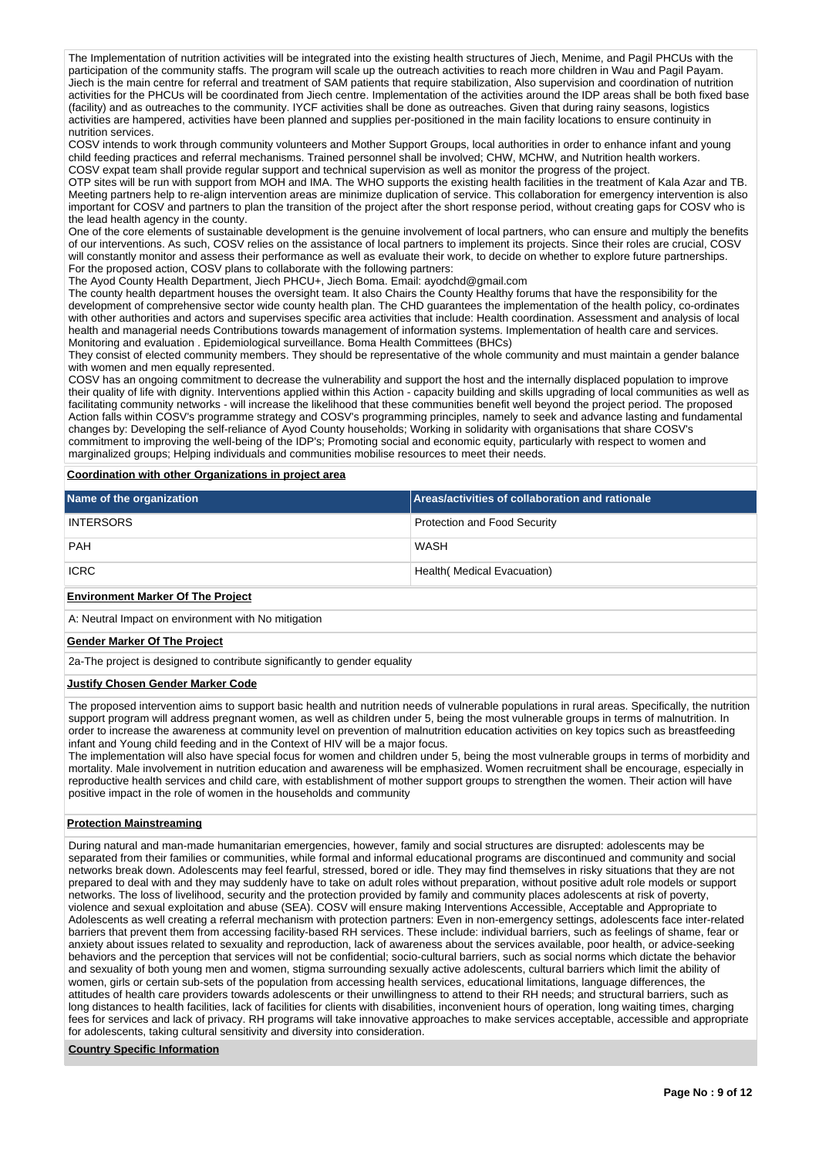The Implementation of nutrition activities will be integrated into the existing health structures of Jiech, Menime, and Pagil PHCUs with the participation of the community staffs. The program will scale up the outreach activities to reach more children in Wau and Pagil Payam. Jiech is the main centre for referral and treatment of SAM patients that require stabilization, Also supervision and coordination of nutrition activities for the PHCUs will be coordinated from Jiech centre. Implementation of the activities around the IDP areas shall be both fixed base (facility) and as outreaches to the community. IYCF activities shall be done as outreaches. Given that during rainy seasons, logistics activities are hampered, activities have been planned and supplies per-positioned in the main facility locations to ensure continuity in nutrition services.

COSV intends to work through community volunteers and Mother Support Groups, local authorities in order to enhance infant and young child feeding practices and referral mechanisms. Trained personnel shall be involved; CHW, MCHW, and Nutrition health workers. COSV expat team shall provide regular support and technical supervision as well as monitor the progress of the project.

OTP sites will be run with support from MOH and IMA. The WHO supports the existing health facilities in the treatment of Kala Azar and TB. Meeting partners help to re-align intervention areas are minimize duplication of service. This collaboration for emergency intervention is also important for COSV and partners to plan the transition of the project after the short response period, without creating gaps for COSV who is the lead health agency in the county.

One of the core elements of sustainable development is the genuine involvement of local partners, who can ensure and multiply the benefits of our interventions. As such, COSV relies on the assistance of local partners to implement its projects. Since their roles are crucial, COSV will constantly monitor and assess their performance as well as evaluate their work, to decide on whether to explore future partnerships. For the proposed action, COSV plans to collaborate with the following partners:

The Ayod County Health Department, Jiech PHCU+, Jiech Boma. Email: ayodchd@gmail.com

The county health department houses the oversight team. It also Chairs the County Healthy forums that have the responsibility for the development of comprehensive sector wide county health plan. The CHD guarantees the implementation of the health policy, co-ordinates with other authorities and actors and supervises specific area activities that include: Health coordination. Assessment and analysis of local health and managerial needs Contributions towards management of information systems. Implementation of health care and services. Monitoring and evaluation . Epidemiological surveillance. Boma Health Committees (BHCs)

They consist of elected community members. They should be representative of the whole community and must maintain a gender balance with women and men equally represented.

COSV has an ongoing commitment to decrease the vulnerability and support the host and the internally displaced population to improve their quality of life with dignity. Interventions applied within this Action - capacity building and skills upgrading of local communities as well as facilitating community networks - will increase the likelihood that these communities benefit well beyond the project period. The proposed Action falls within COSV's programme strategy and COSV's programming principles, namely to seek and advance lasting and fundamental changes by: Developing the self-reliance of Ayod County households; Working in solidarity with organisations that share COSV's commitment to improving the well-being of the IDP's; Promoting social and economic equity, particularly with respect to women and marginalized groups; Helping individuals and communities mobilise resources to meet their needs.

**Coordination with other Organizations in project area**

| Name of the organization                 | Areas/activities of collaboration and rationale |
|------------------------------------------|-------------------------------------------------|
| <b>INTERSORS</b>                         | <b>Protection and Food Security</b>             |
| <b>PAH</b>                               | WASH                                            |
| <b>ICRC</b>                              | Health (Medical Evacuation)                     |
| <b>Environment Marker Of The Project</b> |                                                 |

A: Neutral Impact on environment with No mitigation

#### **Gender Marker Of The Project**

2a-The project is designed to contribute significantly to gender equality

#### **Justify Chosen Gender Marker Code**

The proposed intervention aims to support basic health and nutrition needs of vulnerable populations in rural areas. Specifically, the nutrition support program will address pregnant women, as well as children under 5, being the most vulnerable groups in terms of malnutrition. In order to increase the awareness at community level on prevention of malnutrition education activities on key topics such as breastfeeding infant and Young child feeding and in the Context of HIV will be a major focus.

The implementation will also have special focus for women and children under 5, being the most vulnerable groups in terms of morbidity and mortality. Male involvement in nutrition education and awareness will be emphasized. Women recruitment shall be encourage, especially in reproductive health services and child care, with establishment of mother support groups to strengthen the women. Their action will have positive impact in the role of women in the households and community

### **Protection Mainstreaming**

During natural and man-made humanitarian emergencies, however, family and social structures are disrupted: adolescents may be separated from their families or communities, while formal and informal educational programs are discontinued and community and social networks break down. Adolescents may feel fearful, stressed, bored or idle. They may find themselves in risky situations that they are not prepared to deal with and they may suddenly have to take on adult roles without preparation, without positive adult role models or support networks. The loss of livelihood, security and the protection provided by family and community places adolescents at risk of poverty, violence and sexual exploitation and abuse (SEA). COSV will ensure making Interventions Accessible, Acceptable and Appropriate to Adolescents as well creating a referral mechanism with protection partners: Even in non-emergency settings, adolescents face inter-related barriers that prevent them from accessing facility-based RH services. These include: individual barriers, such as feelings of shame, fear or anxiety about issues related to sexuality and reproduction, lack of awareness about the services available, poor health, or advice-seeking behaviors and the perception that services will not be confidential; socio-cultural barriers, such as social norms which dictate the behavior and sexuality of both young men and women, stigma surrounding sexually active adolescents, cultural barriers which limit the ability of women, girls or certain sub-sets of the population from accessing health services, educational limitations, language differences, the attitudes of health care providers towards adolescents or their unwillingness to attend to their RH needs; and structural barriers, such as long distances to health facilities, lack of facilities for clients with disabilities, inconvenient hours of operation, long waiting times, charging fees for services and lack of privacy. RH programs will take innovative approaches to make services acceptable, accessible and appropriate for adolescents, taking cultural sensitivity and diversity into consideration.

#### **Country Specific Information**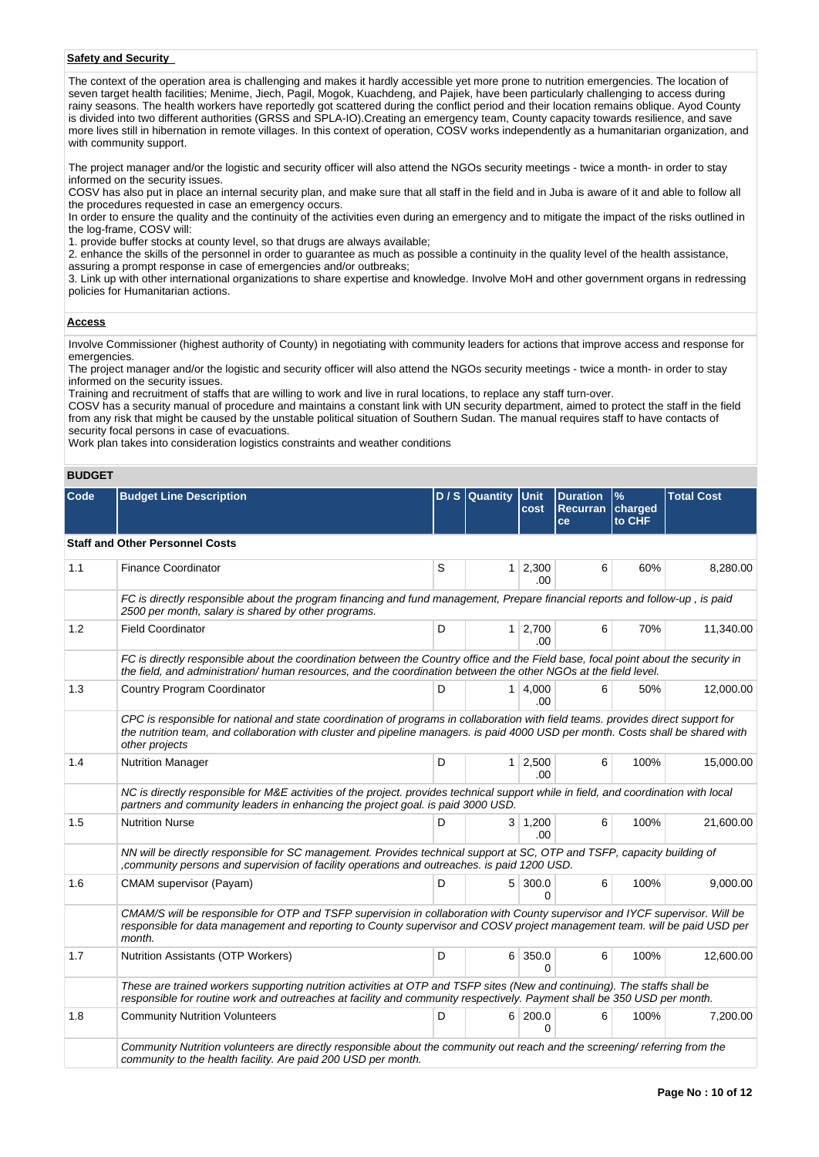## **Safety and Security**

The context of the operation area is challenging and makes it hardly accessible yet more prone to nutrition emergencies. The location of seven target health facilities; Menime, Jiech, Pagil, Mogok, Kuachdeng, and Pajiek, have been particularly challenging to access during rainy seasons. The health workers have reportedly got scattered during the conflict period and their location remains oblique. Ayod County is divided into two different authorities (GRSS and SPLA-IO).Creating an emergency team, County capacity towards resilience, and save more lives still in hibernation in remote villages. In this context of operation, COSV works independently as a humanitarian organization, and with community support.

The project manager and/or the logistic and security officer will also attend the NGOs security meetings - twice a month- in order to stay informed on the security issues.

COSV has also put in place an internal security plan, and make sure that all staff in the field and in Juba is aware of it and able to follow all the procedures requested in case an emergency occurs.

In order to ensure the quality and the continuity of the activities even during an emergency and to mitigate the impact of the risks outlined in the log-frame, COSV will:

1. provide buffer stocks at county level, so that drugs are always available;

2. enhance the skills of the personnel in order to guarantee as much as possible a continuity in the quality level of the health assistance,

assuring a prompt response in case of emergencies and/or outbreaks;

3. Link up with other international organizations to share expertise and knowledge. Involve MoH and other government organs in redressing policies for Humanitarian actions.

## **Access**

Involve Commissioner (highest authority of County) in negotiating with community leaders for actions that improve access and response for emergencies.

The project manager and/or the logistic and security officer will also attend the NGOs security meetings - twice a month- in order to stay informed on the security issues.

Training and recruitment of staffs that are willing to work and live in rural locations, to replace any staff turn-over.

COSV has a security manual of procedure and maintains a constant link with UN security department, aimed to protect the staff in the field from any risk that might be caused by the unstable political situation of Southern Sudan. The manual requires staff to have contacts of security focal persons in case of evacuations.

Work plan takes into consideration logistics constraints and weather conditions

## **BUDGET**

| Code | <b>Budget Line Description</b>                                                                                                                                                                                                                                                          |                            | D / S Quantity | <b>IUnit</b><br>cost    | <b>Duration</b><br>Recurran<br>ce | $\frac{9}{6}$<br>charged<br>to CHF | <b>Total Cost</b> |  |  |  |
|------|-----------------------------------------------------------------------------------------------------------------------------------------------------------------------------------------------------------------------------------------------------------------------------------------|----------------------------|----------------|-------------------------|-----------------------------------|------------------------------------|-------------------|--|--|--|
|      | <b>Staff and Other Personnel Costs</b>                                                                                                                                                                                                                                                  |                            |                |                         |                                   |                                    |                   |  |  |  |
| 1.1  | <b>Finance Coordinator</b>                                                                                                                                                                                                                                                              | S<br>$1 \mid 2,300$<br>.00 |                | 6                       |                                   | 60%                                | 8,280.00          |  |  |  |
|      | FC is directly responsible about the program financing and fund management, Prepare financial reports and follow-up, is paid<br>2500 per month, salary is shared by other programs.                                                                                                     |                            |                |                         |                                   |                                    |                   |  |  |  |
| 1.2  | <b>Field Coordinator</b>                                                                                                                                                                                                                                                                | D                          |                | $1 \mid 2,700$<br>.00.  | 6                                 | 70%                                | 11,340.00         |  |  |  |
|      | FC is directly responsible about the coordination between the Country office and the Field base, focal point about the security in<br>the field, and administration/ human resources, and the coordination between the other NGOs at the field level.                                   |                            |                |                         |                                   |                                    |                   |  |  |  |
| 1.3  | Country Program Coordinator                                                                                                                                                                                                                                                             | D                          |                | $1 \, 4,000$<br>.00.    | 6                                 | 50%                                | 12,000.00         |  |  |  |
|      | CPC is responsible for national and state coordination of programs in collaboration with field teams. provides direct support for<br>the nutrition team, and collaboration with cluster and pipeline managers. is paid 4000 USD per month. Costs shall be shared with<br>other projects |                            |                |                         |                                   |                                    |                   |  |  |  |
| 1.4  | <b>Nutrition Manager</b>                                                                                                                                                                                                                                                                | D                          |                | $1 \ 2,500$<br>.00      | 6                                 | 100%                               | 15,000.00         |  |  |  |
|      | NC is directly responsible for M&E activities of the project. provides technical support while in field, and coordination with local<br>partners and community leaders in enhancing the project goal. is paid 3000 USD.                                                                 |                            |                |                         |                                   |                                    |                   |  |  |  |
| 1.5  | <b>Nutrition Nurse</b>                                                                                                                                                                                                                                                                  | D                          |                | $3 \mid 1,200$<br>.00   | 6                                 | 100%                               | 21,600.00         |  |  |  |
|      | NN will be directly responsible for SC management. Provides technical support at SC, OTP and TSFP, capacity building of<br>, community persons and supervision of facility operations and outreaches. is paid 1200 USD.                                                                 |                            |                |                         |                                   |                                    |                   |  |  |  |
| 1.6  | CMAM supervisor (Payam)                                                                                                                                                                                                                                                                 | D                          |                | 5 300.0<br><sup>0</sup> | 6                                 | 100%                               | 9,000.00          |  |  |  |
|      | CMAM/S will be responsible for OTP and TSFP supervision in collaboration with County supervisor and IYCF supervisor. Will be<br>responsible for data management and reporting to County supervisor and COSV project management team. will be paid USD per<br>month.                     |                            |                |                         |                                   |                                    |                   |  |  |  |
| 1.7  | Nutrition Assistants (OTP Workers)                                                                                                                                                                                                                                                      | D                          |                | 6 350.0<br>U            | 6                                 | 100%                               | 12,600.00         |  |  |  |
|      | These are trained workers supporting nutrition activities at OTP and TSFP sites (New and continuing). The staffs shall be<br>responsible for routine work and outreaches at facility and community respectively. Payment shall be 350 USD per month.                                    |                            |                |                         |                                   |                                    |                   |  |  |  |
| 1.8  | <b>Community Nutrition Volunteers</b>                                                                                                                                                                                                                                                   | D                          |                | 6 200.0<br>O            | 6                                 | 100%                               | 7,200.00          |  |  |  |
|      | Community Nutrition volunteers are directly responsible about the community out reach and the screening/ referring from the<br>community to the health facility. Are paid 200 USD per month.                                                                                            |                            |                |                         |                                   |                                    |                   |  |  |  |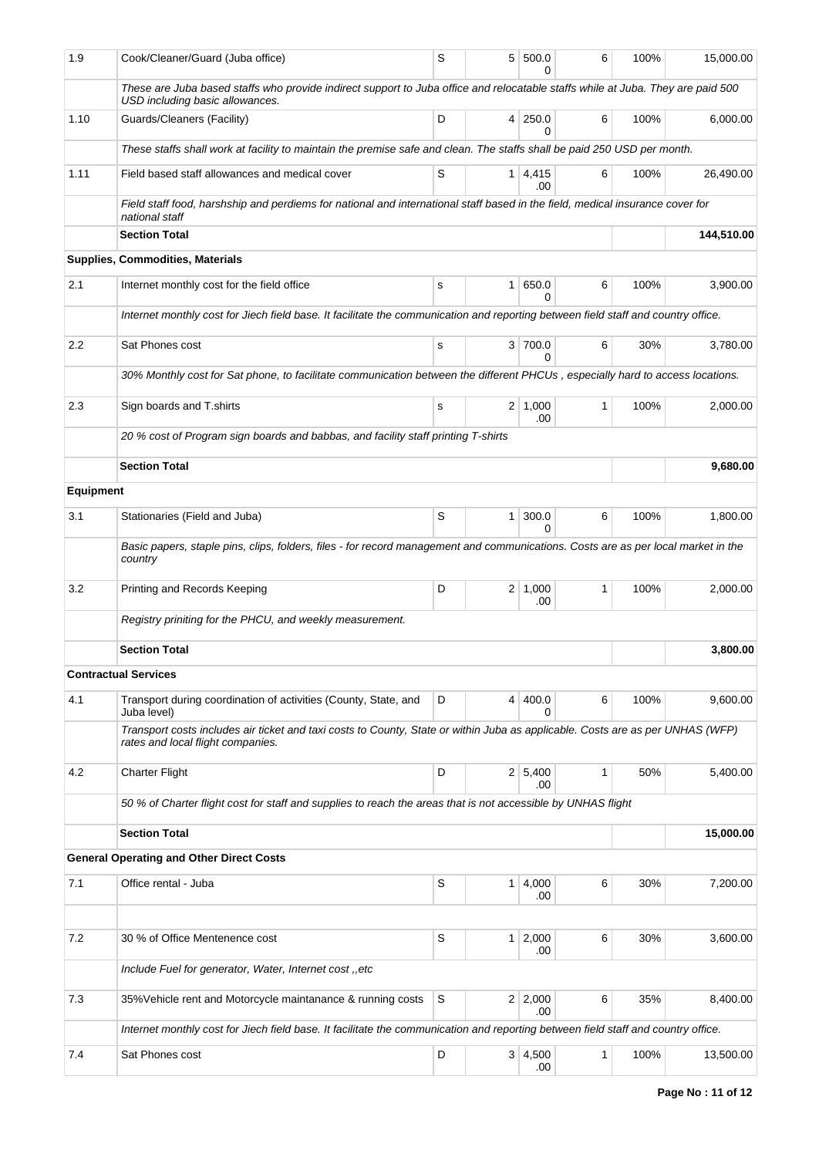| 1.9              | Cook/Cleaner/Guard (Juba office)                                                                                                                                    | S |                | 5 500.0<br>0           | 6 | 100% | 15,000.00 |  |  |  |  |
|------------------|---------------------------------------------------------------------------------------------------------------------------------------------------------------------|---|----------------|------------------------|---|------|-----------|--|--|--|--|
|                  | These are Juba based staffs who provide indirect support to Juba office and relocatable staffs while at Juba. They are paid 500<br>USD including basic allowances.  |   |                |                        |   |      |           |  |  |  |  |
| 1.10             | Guards/Cleaners (Facility)                                                                                                                                          | D |                | 4 250.0<br>0           | 6 | 100% | 6,000.00  |  |  |  |  |
|                  | These staffs shall work at facility to maintain the premise safe and clean. The staffs shall be paid 250 USD per month.                                             |   |                |                        |   |      |           |  |  |  |  |
| 1.11             | Field based staff allowances and medical cover                                                                                                                      | S |                | $1 \mid 4,415$<br>.00  | 6 | 100% | 26,490.00 |  |  |  |  |
|                  | Field staff food, harshship and perdiems for national and international staff based in the field, medical insurance cover for<br>national staff                     |   |                |                        |   |      |           |  |  |  |  |
|                  | <b>Section Total</b>                                                                                                                                                |   | 144,510.00     |                        |   |      |           |  |  |  |  |
|                  | Supplies, Commodities, Materials                                                                                                                                    |   |                |                        |   |      |           |  |  |  |  |
| 2.1              | Internet monthly cost for the field office                                                                                                                          | s |                | 1 650.0<br>0           | 6 | 100% | 3,900.00  |  |  |  |  |
|                  | Internet monthly cost for Jiech field base. It facilitate the communication and reporting between field staff and country office.                                   |   |                |                        |   |      |           |  |  |  |  |
| 2.2              | Sat Phones cost                                                                                                                                                     | s |                | 3 700.0<br>$\Omega$    | 6 | 30%  | 3,780.00  |  |  |  |  |
|                  | 30% Monthly cost for Sat phone, to facilitate communication between the different PHCUs, especially hard to access locations.                                       |   |                |                        |   |      |           |  |  |  |  |
| 2.3              | Sign boards and T.shirts                                                                                                                                            | s |                | $2 \mid 1,000$<br>.00  | 1 | 100% | 2,000.00  |  |  |  |  |
|                  | 20 % cost of Program sign boards and babbas, and facility staff printing T-shirts                                                                                   |   |                |                        |   |      |           |  |  |  |  |
|                  | <b>Section Total</b>                                                                                                                                                |   |                |                        |   |      | 9,680.00  |  |  |  |  |
| <b>Equipment</b> |                                                                                                                                                                     |   |                |                        |   |      |           |  |  |  |  |
| 3.1              | Stationaries (Field and Juba)                                                                                                                                       | S |                | $1 \,   \, 300.0$<br>0 | 6 | 100% | 1,800.00  |  |  |  |  |
|                  | Basic papers, staple pins, clips, folders, files - for record management and communications. Costs are as per local market in the<br>country                        |   |                |                        |   |      |           |  |  |  |  |
| 3.2              | Printing and Records Keeping                                                                                                                                        | D |                | $2 \mid 1,000$<br>.00  | 1 | 100% | 2,000.00  |  |  |  |  |
|                  | Registry priniting for the PHCU, and weekly measurement.                                                                                                            |   |                |                        |   |      |           |  |  |  |  |
|                  | <b>Section Total</b>                                                                                                                                                |   |                |                        |   |      | 3,800.00  |  |  |  |  |
|                  | <b>Contractual Services</b>                                                                                                                                         |   |                |                        |   |      |           |  |  |  |  |
| 4.1              | Transport during coordination of activities (County, State, and<br>Juba level)                                                                                      | D |                | 4 400.0<br>0           | 6 | 100% | 9,600.00  |  |  |  |  |
|                  | Transport costs includes air ticket and taxi costs to County, State or within Juba as applicable. Costs are as per UNHAS (WFP)<br>rates and local flight companies. |   |                |                        |   |      |           |  |  |  |  |
| 4.2              | <b>Charter Flight</b>                                                                                                                                               | D |                | 2 5,400<br>.00         | 1 | 50%  | 5,400.00  |  |  |  |  |
|                  | 50 % of Charter flight cost for staff and supplies to reach the areas that is not accessible by UNHAS flight                                                        |   |                |                        |   |      |           |  |  |  |  |
|                  | <b>Section Total</b>                                                                                                                                                |   | 15,000.00      |                        |   |      |           |  |  |  |  |
|                  | <b>General Operating and Other Direct Costs</b>                                                                                                                     |   |                |                        |   |      |           |  |  |  |  |
| 7.1              | Office rental - Juba                                                                                                                                                | S | 1 <sup>1</sup> | 4,000<br>.00           | 6 | 30%  | 7,200.00  |  |  |  |  |
|                  |                                                                                                                                                                     |   |                |                        |   |      |           |  |  |  |  |
| 7.2              | 30 % of Office Mentenence cost                                                                                                                                      | S |                | $1 \mid 2,000$<br>.00  | 6 | 30%  | 3,600.00  |  |  |  |  |
|                  | Include Fuel for generator, Water, Internet cost, etc                                                                                                               |   |                |                        |   |      |           |  |  |  |  |
| 7.3              | 35% Vehicle rent and Motorcycle maintanance & running costs                                                                                                         | S |                | 2 2,000<br>.00         | 6 | 35%  | 8,400.00  |  |  |  |  |
|                  | Internet monthly cost for Jiech field base. It facilitate the communication and reporting between field staff and country office.                                   |   |                |                        |   |      |           |  |  |  |  |
| 7.4              | Sat Phones cost                                                                                                                                                     | D |                | 3   4,500<br>.00       | 1 | 100% | 13,500.00 |  |  |  |  |